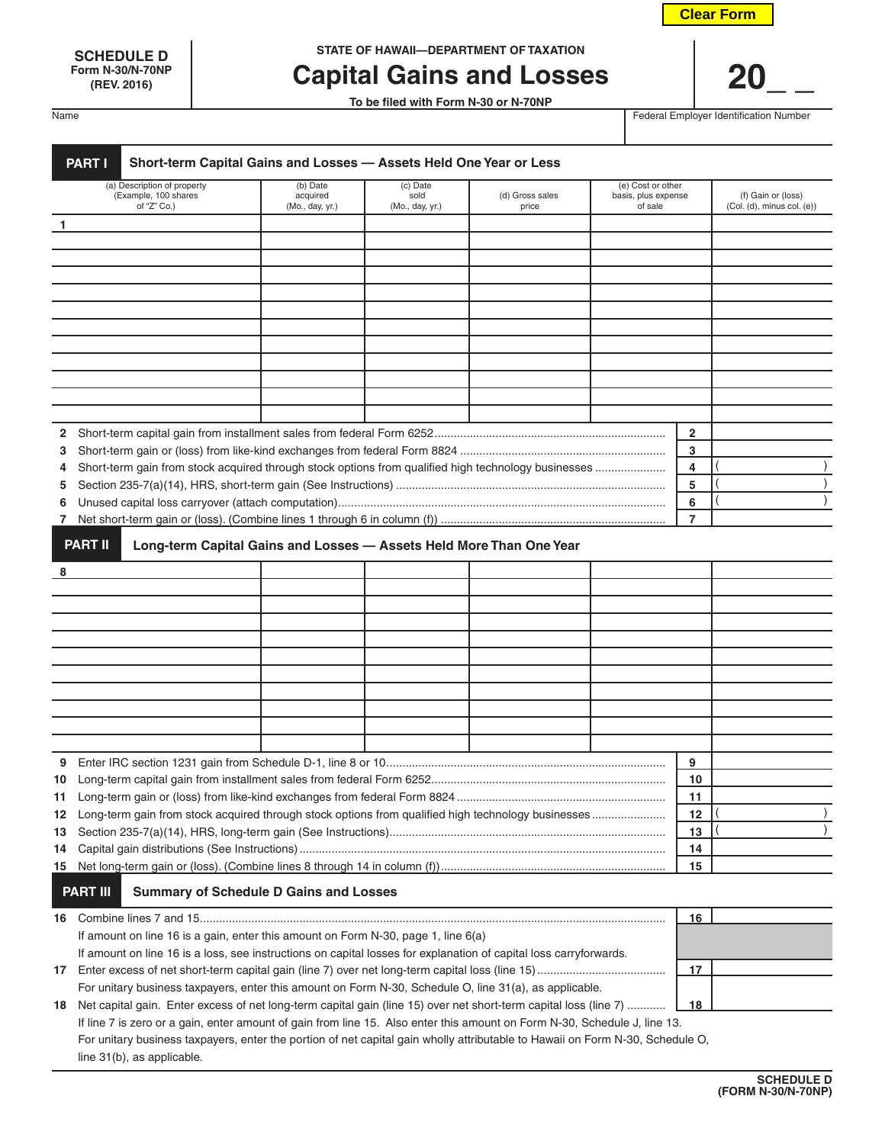| <b>Clear Form</b> |
|-------------------|
|-------------------|

**Form N-30/N-70NP**

**SCHEDULE D STATE OF HAWAII—DEPARTMENT OF TAXATION**

# **Capital Gains and Losses | 20**

**To be filed with Form N-30 or N-70NP**

Name **Federal Employer Identification Number** Federal Employer Identification Number

|                      | Short-term Capital Gains and Losses - Assets Held One Year or Less<br><b>PART I</b><br>(a) Description of property                                                                                     |                      | (c) Date        |                 | (e) Cost or other   |                |                                 |
|----------------------|--------------------------------------------------------------------------------------------------------------------------------------------------------------------------------------------------------|----------------------|-----------------|-----------------|---------------------|----------------|---------------------------------|
| (Example, 100 shares |                                                                                                                                                                                                        | (b) Date<br>acquired | sold            | (d) Gross sales | basis, plus expense |                | (f) Gain or (loss)              |
|                      | of " $Z$ " Co.)                                                                                                                                                                                        | (Mo., day, yr.)      | (Mo., day, yr.) | price           | of sale             |                | $(Col. (d),$ minus col. $(e)$ ) |
| 1                    |                                                                                                                                                                                                        |                      |                 |                 |                     |                |                                 |
|                      |                                                                                                                                                                                                        |                      |                 |                 |                     |                |                                 |
|                      |                                                                                                                                                                                                        |                      |                 |                 |                     |                |                                 |
|                      |                                                                                                                                                                                                        |                      |                 |                 |                     |                |                                 |
|                      |                                                                                                                                                                                                        |                      |                 |                 |                     |                |                                 |
|                      |                                                                                                                                                                                                        |                      |                 |                 |                     |                |                                 |
|                      |                                                                                                                                                                                                        |                      |                 |                 |                     |                |                                 |
|                      |                                                                                                                                                                                                        |                      |                 |                 |                     |                |                                 |
|                      |                                                                                                                                                                                                        |                      |                 |                 |                     |                |                                 |
|                      |                                                                                                                                                                                                        |                      |                 |                 |                     |                |                                 |
|                      |                                                                                                                                                                                                        |                      |                 |                 |                     |                |                                 |
| 2                    |                                                                                                                                                                                                        |                      |                 |                 |                     | $\overline{2}$ |                                 |
| 3                    |                                                                                                                                                                                                        |                      |                 |                 |                     | 3              |                                 |
| 4                    | Short-term gain from stock acquired through stock options from qualified high technology businesses                                                                                                    |                      |                 |                 |                     | 4<br>5         |                                 |
| 5<br>6               |                                                                                                                                                                                                        |                      |                 |                 |                     | 6              |                                 |
|                      |                                                                                                                                                                                                        |                      |                 |                 |                     | 7              |                                 |
|                      |                                                                                                                                                                                                        |                      |                 |                 |                     |                |                                 |
|                      | <b>PART II</b><br>Long-term Capital Gains and Losses - Assets Held More Than One Year                                                                                                                  |                      |                 |                 |                     |                |                                 |
| 8                    |                                                                                                                                                                                                        |                      |                 |                 |                     |                |                                 |
|                      |                                                                                                                                                                                                        |                      |                 |                 |                     |                |                                 |
|                      |                                                                                                                                                                                                        |                      |                 |                 |                     |                |                                 |
|                      |                                                                                                                                                                                                        |                      |                 |                 |                     |                |                                 |
|                      |                                                                                                                                                                                                        |                      |                 |                 |                     |                |                                 |
|                      |                                                                                                                                                                                                        |                      |                 |                 |                     |                |                                 |
|                      |                                                                                                                                                                                                        |                      |                 |                 |                     |                |                                 |
|                      |                                                                                                                                                                                                        |                      |                 |                 |                     |                |                                 |
|                      |                                                                                                                                                                                                        |                      |                 |                 |                     |                |                                 |
|                      |                                                                                                                                                                                                        |                      |                 |                 |                     |                |                                 |
|                      |                                                                                                                                                                                                        |                      |                 |                 |                     | 9              |                                 |
|                      |                                                                                                                                                                                                        |                      |                 |                 |                     | 10             |                                 |
|                      |                                                                                                                                                                                                        |                      |                 |                 |                     | 11             |                                 |
|                      | 12 Long-term gain from stock acquired through stock options from qualified high technology businesses                                                                                                  |                      |                 |                 |                     | 12             |                                 |
|                      |                                                                                                                                                                                                        |                      |                 |                 |                     | 13             |                                 |
|                      |                                                                                                                                                                                                        |                      |                 |                 |                     | 14             |                                 |
|                      |                                                                                                                                                                                                        |                      |                 |                 |                     | 15             |                                 |
|                      | <b>PART III</b><br><b>Summary of Schedule D Gains and Losses</b>                                                                                                                                       |                      |                 |                 |                     |                |                                 |
|                      |                                                                                                                                                                                                        |                      |                 |                 |                     | 16             |                                 |
|                      |                                                                                                                                                                                                        |                      |                 |                 |                     |                |                                 |
|                      | If amount on line 16 is a gain, enter this amount on Form N-30, page 1, line 6(a)<br>If amount on line 16 is a loss, see instructions on capital losses for explanation of capital loss carryforwards. |                      |                 |                 |                     |                |                                 |
|                      |                                                                                                                                                                                                        |                      |                 |                 |                     | 17             |                                 |
|                      | For unitary business taxpayers, enter this amount on Form N-30, Schedule O, line 31(a), as applicable.                                                                                                 |                      |                 |                 |                     |                |                                 |
| 18                   | Net capital gain. Enter excess of net long-term capital gain (line 15) over net short-term capital loss (line 7)                                                                                       |                      |                 |                 |                     | 18             |                                 |
|                      | If line 7 is zero or a gain, enter amount of gain from line 15. Also enter this amount on Form N-30, Schedule J, line 13.                                                                              |                      |                 |                 |                     |                |                                 |
|                      | For unitary business taxpayers, enter the portion of net capital gain wholly attributable to Hawaii on Form N-30, Schedule O,                                                                          |                      |                 |                 |                     |                |                                 |
|                      | line 31(b), as applicable.                                                                                                                                                                             |                      |                 |                 |                     |                |                                 |